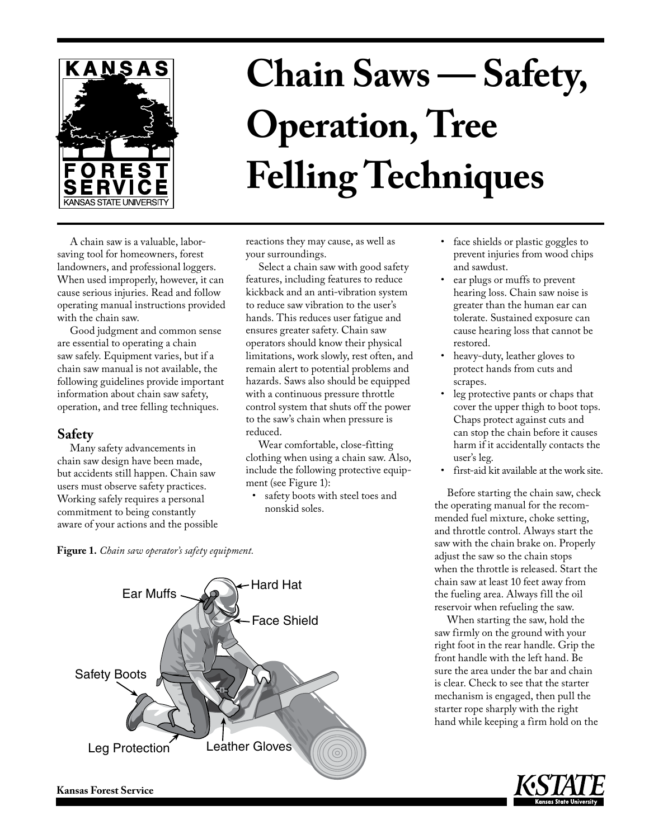

# **Chain Saws — Safety, Operation, Tree Felling Techniques**

A chain saw is a valuable, laborsaving tool for homeowners, forest landowners, and professional loggers. When used improperly, however, it can cause serious injuries. Read and follow operating manual instructions provided with the chain saw.

Good judgment and common sense are essential to operating a chain saw safely. Equipment varies, but if a chain saw manual is not available, the following guidelines provide important information about chain saw safety, operation, and tree felling techniques.

## **Safety**

Many safety advancements in chain saw design have been made, but accidents still happen. Chain saw users must observe safety practices. Working safely requires a personal commitment to being constantly aware of your actions and the possible reactions they may cause, as well as your surroundings.

Select a chain saw with good safety features, including features to reduce kickback and an anti-vibration system to reduce saw vibration to the user's hands. This reduces user fatigue and ensures greater safety. Chain saw operators should know their physical limitations, work slowly, rest often, and remain alert to potential problems and hazards. Saws also should be equipped with a continuous pressure throttle control system that shuts off the power to the saw's chain when pressure is reduced.

Wear comfortable, close-fitting clothing when using a chain saw. Also, include the following protective equipment (see Figure 1):

• safety boots with steel toes and nonskid soles.

1

- face shields or plastic goggles to prevent injuries from wood chips and sawdust.
- ear plugs or muffs to prevent hearing loss. Chain saw noise is greater than the human ear can tolerate. Sustained exposure can cause hearing loss that cannot be restored.
- heavy-duty, leather gloves to protect hands from cuts and scrapes.
- leg protective pants or chaps that cover the upper thigh to boot tops. Chaps protect against cuts and can stop the chain before it causes harm if it accidentally contacts the user's leg.
- first-aid kit available at the work site.

Before starting the chain saw, check the operating manual for the recommended fuel mixture, choke setting, and throttle control. Always start the saw with the chain brake on. Properly adjust the saw so the chain stops when the throttle is released. Start the chain saw at least 10 feet away from the fueling area. Always fill the oil reservoir when refueling the saw.

When starting the saw, hold the saw firmly on the ground with your right foot in the rear handle. Grip the front handle with the left hand. Be sure the area under the bar and chain is clear. Check to see that the starter mechanism is engaged, then pull the starter rope sharply with the right hand while keeping a firm hold on the



**Figure 1.** *Chain saw operator's safety equipment.*

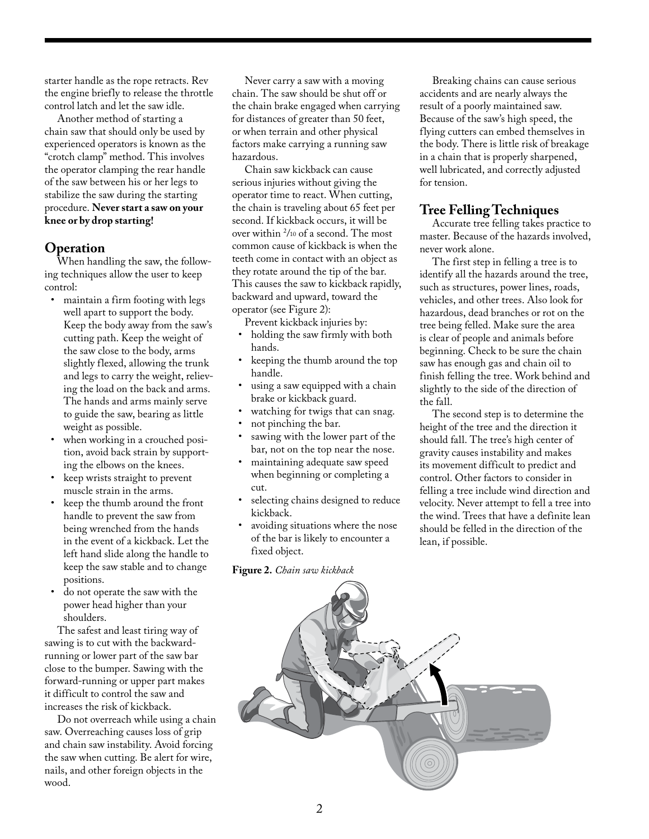starter handle as the rope retracts. Rev the engine briefly to release the throttle control latch and let the saw idle.

Another method of starting a chain saw that should only be used by experienced operators is known as the "crotch clamp" method. This involves the operator clamping the rear handle of the saw between his or her legs to stabilize the saw during the starting procedure. **Never start a saw on your knee or by drop starting!** 

### **Operation**

When handling the saw, the following techniques allow the user to keep control:

- maintain a firm footing with legs well apart to support the body. Keep the body away from the saw's cutting path. Keep the weight of the saw close to the body, arms slightly flexed, allowing the trunk and legs to carry the weight, relieving the load on the back and arms. The hands and arms mainly serve to guide the saw, bearing as little weight as possible.
- when working in a crouched position, avoid back strain by supporting the elbows on the knees.
- keep wrists straight to prevent muscle strain in the arms.
- keep the thumb around the front handle to prevent the saw from being wrenched from the hands in the event of a kickback. Let the left hand slide along the handle to keep the saw stable and to change positions.
- do not operate the saw with the power head higher than your shoulders.

The safest and least tiring way of sawing is to cut with the backwardrunning or lower part of the saw bar close to the bumper. Sawing with the forward-running or upper part makes it difficult to control the saw and increases the risk of kickback.

Do not overreach while using a chain saw. Overreaching causes loss of grip and chain saw instability. Avoid forcing the saw when cutting. Be alert for wire, nails, and other foreign objects in the wood.

Never carry a saw with a moving chain. The saw should be shut off or the chain brake engaged when carrying for distances of greater than 50 feet, or when terrain and other physical factors make carrying a running saw hazardous.

Chain saw kickback can cause serious injuries without giving the operator time to react. When cutting, the chain is traveling about 65 feet per second. If kickback occurs, it will be over within 2 /10 of a second. The most common cause of kickback is when the teeth come in contact with an object as they rotate around the tip of the bar. This causes the saw to kickback rapidly, backward and upward, toward the operator (see Figure 2):

Prevent kickback injuries by:

- holding the saw firmly with both hands.
- • keeping the thumb around the top handle.
- • using a saw equipped with a chain brake or kickback guard.
- watching for twigs that can snag.
- not pinching the bar.
- sawing with the lower part of the bar, not on the top near the nose.
- maintaining adequate saw speed when beginning or completing a cut.
- selecting chains designed to reduce kickback.
- avoiding situations where the nose of the bar is likely to encounter a fixed object.

**Figure 2.** *Chain saw kickback*

Breaking chains can cause serious accidents and are nearly always the result of a poorly maintained saw. Because of the saw's high speed, the flying cutters can embed themselves in the body. There is little risk of breakage in a chain that is properly sharpened, well lubricated, and correctly adjusted for tension.

### **Tree Felling Techniques**

Accurate tree felling takes practice to master. Because of the hazards involved, never work alone.

The first step in felling a tree is to identify all the hazards around the tree, such as structures, power lines, roads, vehicles, and other trees. Also look for hazardous, dead branches or rot on the tree being felled. Make sure the area is clear of people and animals before beginning. Check to be sure the chain saw has enough gas and chain oil to finish felling the tree. Work behind and slightly to the side of the direction of the fall.

The second step is to determine the height of the tree and the direction it should fall. The tree's high center of gravity causes instability and makes its movement difficult to predict and control. Other factors to consider in felling a tree include wind direction and velocity. Never attempt to fell a tree into the wind. Trees that have a definite lean should be felled in the direction of the lean, if possible.

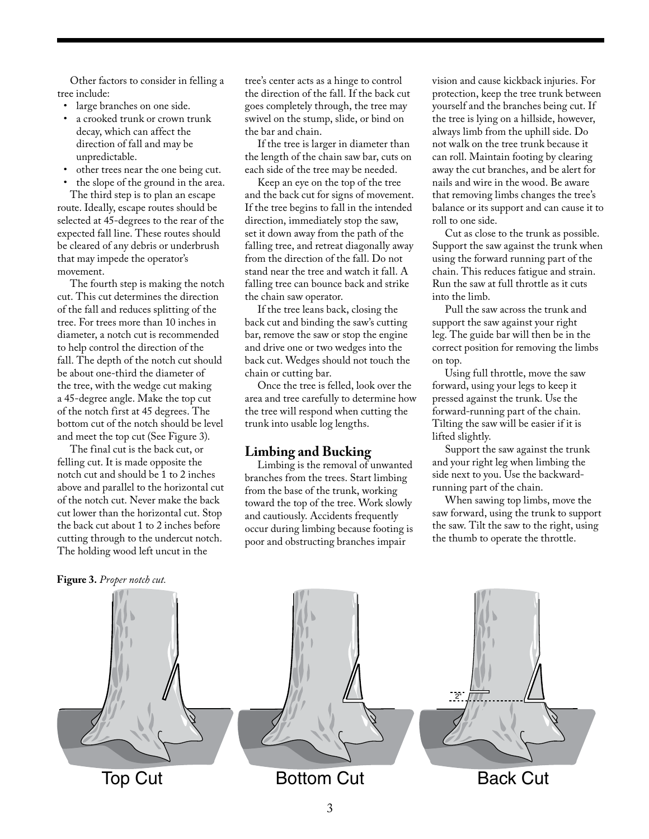Other factors to consider in felling a tree include:

- large branches on one side.
- a crooked trunk or crown trunk decay, which can affect the direction of fall and may be unpredictable.
- other trees near the one being cut.
- the slope of the ground in the area.

The third step is to plan an escape route. Ideally, escape routes should be selected at 45-degrees to the rear of the expected fall line. These routes should be cleared of any debris or underbrush that may impede the operator's movement.

The fourth step is making the notch cut. This cut determines the direction of the fall and reduces splitting of the tree. For trees more than 10 inches in diameter, a notch cut is recommended to help control the direction of the fall. The depth of the notch cut should be about one-third the diameter of the tree, with the wedge cut making a 45-degree angle. Make the top cut of the notch first at 45 degrees. The bottom cut of the notch should be level and meet the top cut (See Figure 3).

The final cut is the back cut, or felling cut. It is made opposite the notch cut and should be 1 to 2 inches above and parallel to the horizontal cut of the notch cut. Never make the back cut lower than the horizontal cut. Stop the back cut about 1 to 2 inches before cutting through to the undercut notch. The holding wood left uncut in the

tree's center acts as a hinge to control the direction of the fall. If the back cut goes completely through, the tree may swivel on the stump, slide, or bind on the bar and chain.

If the tree is larger in diameter than the length of the chain saw bar, cuts on each side of the tree may be needed.

Keep an eye on the top of the tree and the back cut for signs of movement. If the tree begins to fall in the intended direction, immediately stop the saw, set it down away from the path of the falling tree, and retreat diagonally away from the direction of the fall. Do not stand near the tree and watch it fall. A falling tree can bounce back and strike the chain saw operator.

If the tree leans back, closing the back cut and binding the saw's cutting bar, remove the saw or stop the engine and drive one or two wedges into the back cut. Wedges should not touch the chain or cutting bar.

Once the tree is felled, look over the area and tree carefully to determine how the tree will respond when cutting the trunk into usable log lengths.

### **Limbing and Bucking**

Limbing is the removal of unwanted branches from the trees. Start limbing from the base of the trunk, working toward the top of the tree. Work slowly and cautiously. Accidents frequently occur during limbing because footing is poor and obstructing branches impair

vision and cause kickback injuries. For protection, keep the tree trunk between yourself and the branches being cut. If the tree is lying on a hillside, however, always limb from the uphill side. Do not walk on the tree trunk because it can roll. Maintain footing by clearing away the cut branches, and be alert for nails and wire in the wood. Be aware that removing limbs changes the tree's balance or its support and can cause it to roll to one side.

Cut as close to the trunk as possible. Support the saw against the trunk when using the forward running part of the chain. This reduces fatigue and strain. Run the saw at full throttle as it cuts into the limb.

Pull the saw across the trunk and support the saw against your right leg. The guide bar will then be in the correct position for removing the limbs on top.

Using full throttle, move the saw forward, using your legs to keep it pressed against the trunk. Use the forward-running part of the chain. Tilting the saw will be easier if it is lifted slightly.

Support the saw against the trunk and your right leg when limbing the side next to you. Use the backwardrunning part of the chain.

When sawing top limbs, move the saw forward, using the trunk to support the saw. Tilt the saw to the right, using the thumb to operate the throttle.

```
Figure 3. Proper notch cut.
```